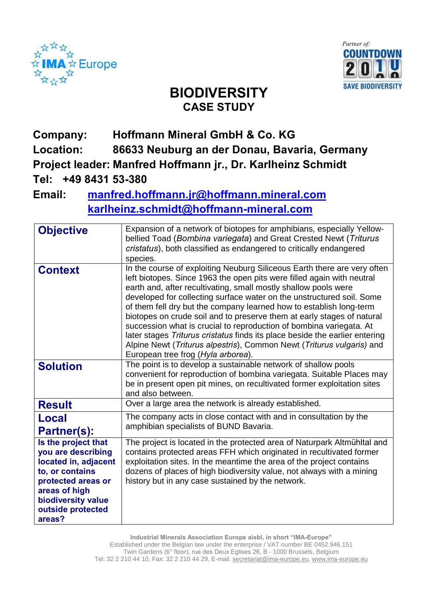



## **BIODIVERSITY CASE STUDY**

## **Company: Hoffmann Mineral GmbH & Co. KG Location: 86633 Neuburg an der Donau, Bavaria, Germany Project leader: Manfred Hoffmann jr., Dr. Karlheinz Schmidt Tel: +49 8431 53-380**

## **Email: manfred.hoffmann.jr@hoffmann.mineral.com [karlheinz.schmidt@hoffmann-mineral.com](mailto:karlheinz.schmidt@hoffmann-mineral.com)**

| <b>Objective</b>                                                                                                                                                                 | Expansion of a network of biotopes for amphibians, especially Yellow-<br>bellied Toad (Bombina variegata) and Great Crested Newt (Triturus<br>cristatus), both classified as endangered to critically endangered<br>species.                                                                                                                                                                                                                                                                                                                                                                                                                                                                                         |
|----------------------------------------------------------------------------------------------------------------------------------------------------------------------------------|----------------------------------------------------------------------------------------------------------------------------------------------------------------------------------------------------------------------------------------------------------------------------------------------------------------------------------------------------------------------------------------------------------------------------------------------------------------------------------------------------------------------------------------------------------------------------------------------------------------------------------------------------------------------------------------------------------------------|
| <b>Context</b>                                                                                                                                                                   | In the course of exploiting Neuburg Siliceous Earth there are very often<br>left biotopes. Since 1963 the open pits were filled again with neutral<br>earth and, after recultivating, small mostly shallow pools were<br>developed for collecting surface water on the unstructured soil. Some<br>of them fell dry but the company learned how to establish long-term<br>biotopes on crude soil and to preserve them at early stages of natural<br>succession what is crucial to reproduction of bombina variegata. At<br>later stages Triturus cristatus finds its place beside the earlier entering<br>Alpine Newt (Triturus alpestris), Common Newt (Triturus vulgaris) and<br>European tree frog (Hyla arborea). |
| <b>Solution</b>                                                                                                                                                                  | The point is to develop a sustainable network of shallow pools<br>convenient for reproduction of bombina variegata. Suitable Places may<br>be in present open pit mines, on recultivated former exploitation sites<br>and also between.                                                                                                                                                                                                                                                                                                                                                                                                                                                                              |
| <b>Result</b>                                                                                                                                                                    | Over a large area the network is already established.                                                                                                                                                                                                                                                                                                                                                                                                                                                                                                                                                                                                                                                                |
| Local<br>Partner(s):                                                                                                                                                             | The company acts in close contact with and in consultation by the<br>amphibian specialists of BUND Bavaria.                                                                                                                                                                                                                                                                                                                                                                                                                                                                                                                                                                                                          |
| Is the project that<br>you are describing<br>located in, adjacent<br>to, or contains<br>protected areas or<br>areas of high<br>biodiversity value<br>outside protected<br>areas? | The project is located in the protected area of Naturpark Altmühltal and<br>contains protected areas FFH which originated in recultivated former<br>exploitation sites. In the meantime the area of the project contains<br>dozens of places of high biodiversity value, not always with a mining<br>history but in any case sustained by the network.                                                                                                                                                                                                                                                                                                                                                               |

**Industrial Minerals Association Europe aisbl, in short ìIMA-Europeî** Established under the Belgian law under the enterprise / VAT number BE 0452.946.151 Twin Gardens (6° floor), rue des Deux Eglises 26, B - 1000 Brussels, Belgium Tel: 32 2 210 44 10, Fax: 32 2 210 44 29, E-mail: [secretariat@ima-europe.eu,](mailto:secretariat@ima-europe.eu) [www.ima-europe.eu](http://www.ima-europe.eu)